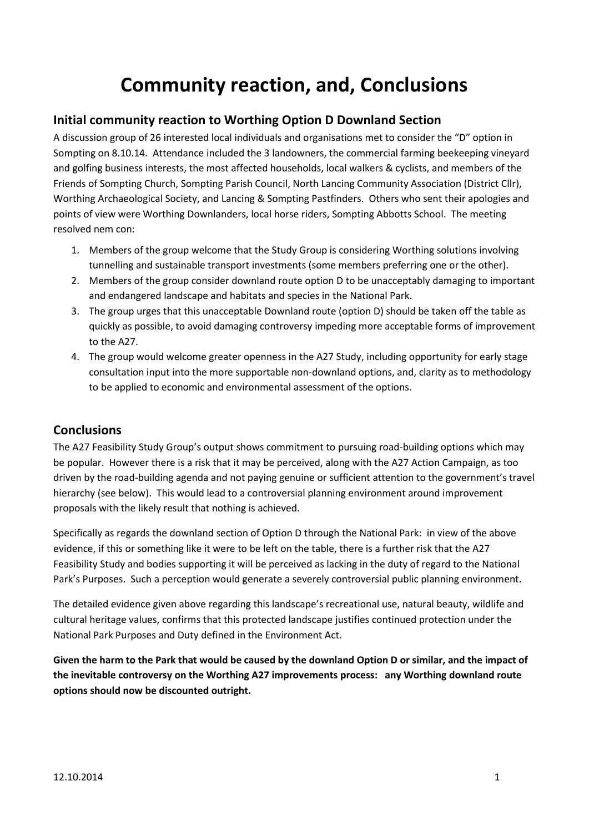## **Community reaction, and, Conclusions**

## **Initial community reaction to Worthing Option D Downland Section**

A discussion group of 26 interested local individuals and organisations met to consider the "D" option in Sompting on 8.10.14. Attendance included the 3 landowners, the commercial farming beekeeping vineyard and golfing business interests, the most affected households, local walkers & cyclists, and members of the Friends of Sompting Church, Sompting Parish Council, North Lancing Community Association (District Cllr), Worthing Archaeological Society, and Lancing & Sompting Pastfinders. Others who sent their apologies and points of view were Worthing Downlanders, local horse riders, Sompting Abbotts School. The meeting resolved nem con:

- 1. Members of the group welcome that the Study Group is considering Worthing solutions involving tunnelling and sustainable transport investments (some members preferring one or the other).
- 2. Members of the group consider downland route option D to be unacceptably damaging to important and endangered landscape and habitats and species in the National Park.
- 3. The group urges that this unacceptable Downland route (option D) should be taken off the table as quickly as possible, to avoid damaging controversy impeding more acceptable forms of improvement to the A27.
- 4. The group would welcome greater openness in the A27 Study, including opportunity for early stage consultation input into the more supportable non-downland options, and, clarity as to methodology to be applied to economic and environmental assessment of the options.

## **Conclusions**

The A27 Feasibility Study Group's output shows commitment to pursuing road-building options which may be popular. However there is a risk that it may be perceived, along with the A27 Action Campaign, as too driven by the road-building agenda and not paying genuine or sufficient attention to the government's travel hierarchy (see below). This would lead to a controversial planning environment around improvement proposals with the likely result that nothing is achieved.

Specifically as regards the downland section of Option D through the National Park: in view of the above evidence, if this or something like it were to be left on the table, there is a further risk that the A27 Feasibility Study and bodies supporting it will be perceived as lacking in the duty of regard to the National Park's Purposes. Such a perception would generate a severely controversial public planning environment.

The detailed evidence given above regarding this landscape's recreational use, natural beauty, wildlife and cultural heritage values, confirms that this protected landscape justifies continued protection under the National Park Purposes and Duty defined in the Environment Act.

**Given the harm to the Park that would be caused by the downland Option D or similar, and the impact of the inevitable controversy on the Worthing A27 improvements process: any Worthing downland route options should now be discounted outright.**